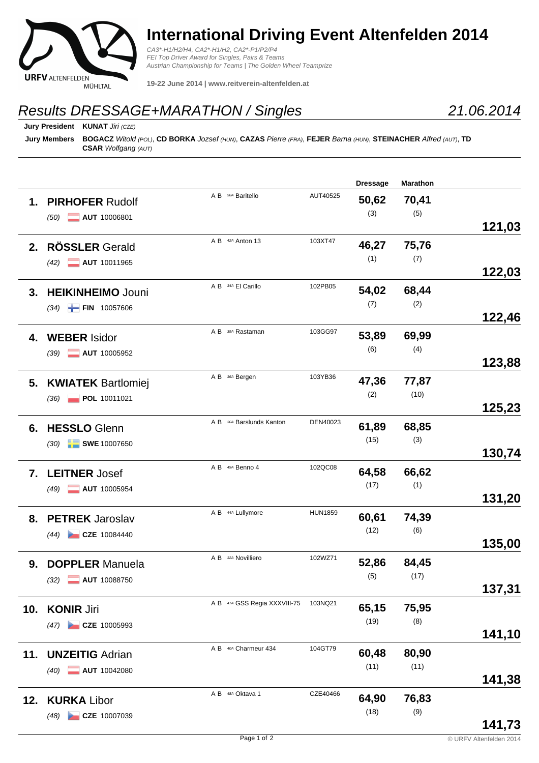

## **International Driving Event Altenfelden 2014**

CA3\*-H1/H2/H4, CA2\*-H1/H2, CA2\*-P1/P2/P4 FEI Top Driver Award for Singles, Pairs & Teams Austrian Championship for Teams | The Golden Wheel Teamprize

**19-22 June 2014 | www.reitverein-altenfelden.at**

## Results DRESSAGE+MARATHON / Singles

**Jury President KUNAT** Jiri (CZE)

**Jury Members BOGACZ** Witold (POL), **CD BORKA** Jozsef (HUN), **CAZAS** Pierre (FRA), **FEJER** Barna (HUN), **STEINACHER** Alfred (AUT), **TD CSAR** Wolfgang (AUT)

|     |                                     |                              |                | <b>Dressage</b> | <b>Marathon</b> |        |
|-----|-------------------------------------|------------------------------|----------------|-----------------|-----------------|--------|
| 1.  | <b>PIRHOFER Rudolf</b>              | A B 50A Baritello            | AUT40525       | 50,62           | 70,41           |        |
|     | <b>AUT</b> 10006801<br>(50)         |                              |                | (3)             | (5)             |        |
|     |                                     |                              |                |                 |                 | 121,03 |
| 2.  | <b>RÖSSLER Gerald</b>               | A B 42A Anton 13             | 103XT47        | 46,27           | 75,76           |        |
|     | <b>AUT</b> 10011965<br>(42)         |                              |                | (1)             | (7)             |        |
|     |                                     |                              |                |                 |                 | 122,03 |
| 3.  | <b>HEIKINHEIMO Jouni</b>            | A B 34A El Carillo           | 102PB05        | 54,02           | 68,44           |        |
|     |                                     |                              |                | (7)             | (2)             |        |
|     | $(34)$ FIN 10057606                 |                              |                |                 |                 | 122,46 |
| 4.  | <b>WEBER Isidor</b>                 | A B 394 Rastaman             | 103GG97        | 53,89           | 69,99           |        |
|     |                                     |                              |                | (6)             | (4)             |        |
|     | AUT 10005952<br>(39)                |                              |                |                 |                 | 123,88 |
| 5.  | <b>KWIATEK Bartlomiej</b>           | A B 364 Bergen               | 103YB36        | 47,36           | 77,87           |        |
|     |                                     |                              |                | (2)             | (10)            |        |
|     | POL 10011021<br>(36)                |                              |                |                 |                 | 125,23 |
| 6.  | <b>HESSLO</b> Glenn                 | A B 304 Barslunds Kanton     | DEN40023       | 61,89           | 68,85           |        |
|     |                                     |                              |                | (15)            | (3)             |        |
|     | $\blacksquare$ SWE 10007650<br>(30) |                              |                |                 |                 | 130,74 |
|     | <b>LEITNER Josef</b>                | A B 49A Benno 4              | 102QC08        | 64,58           | 66,62           |        |
| 7.  |                                     |                              |                | (17)            | (1)             |        |
|     | AUT 10005954<br>(49)                |                              |                |                 |                 | 131,20 |
|     |                                     | A B 44A Lullymore            | <b>HUN1859</b> | 60,61           | 74,39           |        |
| 8.  | <b>PETREK Jaroslav</b>              |                              |                | (12)            | (6)             |        |
|     | $(44)$ CZE 10084440                 |                              |                |                 |                 | 135,00 |
|     | <b>DOPPLER Manuela</b>              | A B 32A Novilliero           | 102WZ71        | 52,86           | 84,45           |        |
| 9.  |                                     |                              |                | (5)             | (17)            |        |
|     | $(32)$ <b>AUT</b> 10088750          |                              |                |                 |                 | 137,31 |
|     |                                     | A B 47A GSS Regia XXXVIII-75 | 103NQ21        | 65,15           | 75,95           |        |
|     | 10. KONIR Jiri                      |                              |                | (19)            | (8)             |        |
|     | CZE 10005993<br>(47)                |                              |                |                 |                 | 141,10 |
|     |                                     | A B 40A Charmeur 434         | 104GT79        | 60,48           | 80,90           |        |
| 11. | <b>UNZEITIG Adrian</b>              |                              |                | (11)            | (11)            |        |
|     | AUT 10042080<br>(40)                |                              |                |                 |                 | 141,38 |
|     |                                     | A B <sup>48A</sup> Oktava 1  | CZE40466       | 64,90           | 76,83           |        |
| 12. | <b>KURKA Libor</b>                  |                              |                | (18)            | (9)             |        |
|     | CZE 10007039<br>(48)                |                              |                |                 |                 | 141,73 |
|     |                                     |                              |                |                 |                 |        |